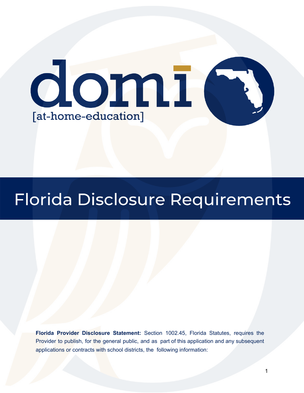

# Florida Disclosure Requirements

**Florida Provider Disclosure Statement:** Section 1002.45, Florida Statutes, requires the Provider to publish, for the general public, and as part of this application and any subsequent applications or contracts with school districts, the following information: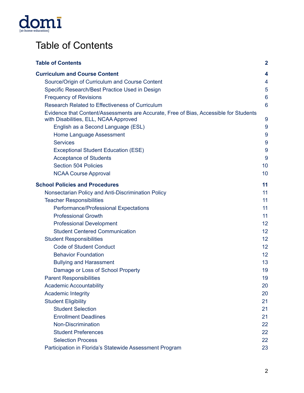

# <span id="page-1-0"></span>Table of Contents

| <b>Table of Contents</b>                                                                                                       | $\mathbf 2$     |
|--------------------------------------------------------------------------------------------------------------------------------|-----------------|
| <b>Curriculum and Course Content</b>                                                                                           | 4               |
| Source/Origin of Curriculum and Course Content                                                                                 | 4               |
| Specific Research/Best Practice Used in Design                                                                                 | 5               |
| <b>Frequency of Revisions</b>                                                                                                  | $6\phantom{1}6$ |
| <b>Research Related to Effectiveness of Curriculum</b>                                                                         | 6               |
| Evidence that Content/Assessments are Accurate, Free of Bias, Accessible for Students<br>with Disabilities, ELL, NCAA Approved | 9               |
| English as a Second Language (ESL)                                                                                             | 9               |
| Home Language Assessment                                                                                                       | 9               |
| <b>Services</b>                                                                                                                | 9               |
| <b>Exceptional Student Education (ESE)</b>                                                                                     | 9               |
| <b>Acceptance of Students</b>                                                                                                  | 9               |
| <b>Section 504 Policies</b>                                                                                                    | 10              |
| <b>NCAA Course Approval</b>                                                                                                    | 10              |
| <b>School Policies and Procedures</b>                                                                                          | 11              |
| Nonsectarian Policy and Anti-Discrimination Policy                                                                             | 11              |
| <b>Teacher Responsibilities</b>                                                                                                | 11              |
| Performance/Professional Expectations                                                                                          | 11              |
| <b>Professional Growth</b>                                                                                                     | 11              |
| <b>Professional Development</b>                                                                                                | 12              |
| <b>Student Centered Communication</b>                                                                                          | 12              |
| <b>Student Responsibilities</b>                                                                                                | 12              |
| <b>Code of Student Conduct</b>                                                                                                 | 12              |
| <b>Behavior Foundation</b>                                                                                                     | 12              |
| <b>Bullying and Harassment</b>                                                                                                 | 13              |
| Damage or Loss of School Property                                                                                              | 19              |
| <b>Parent Responsibilities</b>                                                                                                 | 19              |
| <b>Academic Accountability</b>                                                                                                 | 20              |
| <b>Academic Integrity</b>                                                                                                      | 20              |
| <b>Student Eligibility</b>                                                                                                     | 21              |
| <b>Student Selection</b>                                                                                                       | 21              |
| <b>Enrollment Deadlines</b>                                                                                                    | 21              |
| <b>Non-Discrimination</b>                                                                                                      | 22              |
| <b>Student Preferences</b>                                                                                                     | 22              |
| <b>Selection Process</b>                                                                                                       | 22              |
| Participation in Florida's Statewide Assessment Program                                                                        | 23              |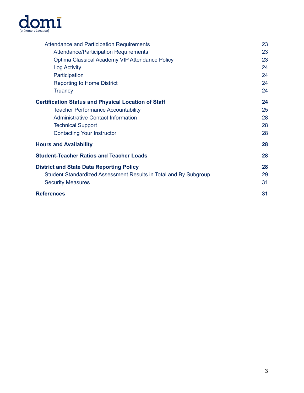

| Attendance and Participation Requirements                        | 23 |
|------------------------------------------------------------------|----|
| <b>Attendance/Participation Requirements</b>                     | 23 |
| Optima Classical Academy VIP Attendance Policy                   | 23 |
| Log Activity                                                     | 24 |
| Participation                                                    | 24 |
| <b>Reporting to Home District</b>                                | 24 |
| <b>Truancy</b>                                                   | 24 |
| <b>Certification Status and Physical Location of Staff</b>       | 24 |
| <b>Teacher Performance Accountability</b>                        | 25 |
| <b>Administrative Contact Information</b>                        | 28 |
| <b>Technical Support</b>                                         | 28 |
| <b>Contacting Your Instructor</b>                                | 28 |
| <b>Hours and Availability</b>                                    | 28 |
| <b>Student-Teacher Ratios and Teacher Loads</b>                  | 28 |
| <b>District and State Data Reporting Policy</b>                  | 28 |
| Student Standardized Assessment Results in Total and By Subgroup | 29 |
| <b>Security Measures</b>                                         | 31 |
| <b>References</b>                                                | 31 |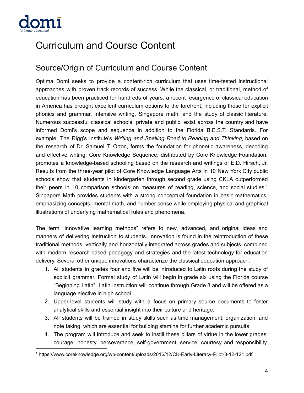

# <span id="page-3-0"></span>Curriculum and Course Content

# <span id="page-3-1"></span>Source/Origin of Curriculum and Course Content

Optima Domi seeks to provide a content-rich curriculum that uses time-tested instructional approaches with proven track records of success. While the classical, or traditional, method of education has been practiced for hundreds of years, a recent resurgence of classical education in America has brought excellent curriculum options to the forefront, including those for explicit phonics and grammar, intensive writing, Singapore math, and the study of classic literature. Numerous successful classical schools, private and public, exist across the country and have informed Domi's scope and sequence in addition to the Florida B.E.S.T. Standards. For example, The Rigg's Institute's *Writing and Spelling Road to Reading and Thinking*, based on the research of Dr. Samuel T. Orton, forms the foundation for phonetic awareness, decoding and effective writing. Core Knowledge Sequence, distributed by Core Knowledge Foundation, promotes a knowledge-based schooling based on the research and writings of E.D. Hirsch, Jr. Results from the three-year pilot of Core Knowledge Language Arts in 10 New York City public schools show that students in kindergarten through second grade using CKLA outperformed their peers in 10 comparison schools on measures of reading, science, and social studies. 1 Singapore Math provides students with a strong conceptual foundation in basic mathematics, emphasizing concepts, mental math, and number sense while employing physical and graphical illustrations of underlying mathematical rules and phenomena.

The term "innovative learning methods" refers to new, advanced, and original ideas and manners of delivering instruction to students. Innovation is found in the reintroduction of these traditional methods, vertically and horizontally integrated across grades and subjects, combined with modern research-based pedagogy and strategies and the latest technology for education delivery. Several other unique innovations characterize the classical education approach:

- 1. All students in grades four and five will be introduced to Latin roots during the study of explicit grammar. Formal study of Latin will begin in grade six using the Florida course "Beginning Latin". Latin instruction will continue through Grade 8 and will be offered as a language elective in high school.
- 2. Upper-level students will study with a focus on primary source documents to foster analytical skills and essential insight into their culture and heritage.
- 3. All students will be trained in study skills such as time management, organization, and note taking, which are essential for building stamina for further academic pursuits.
- 4. The program will introduce and seek to instill these pillars of virtue in the lower grades: courage, honesty, perseverance, self-government, service, courtesy and responsibility.

<sup>1</sup> https://www.coreknowledge.org/wp-content/uploads/2016/12/CK-Early-Literacy-Pilot-3-12-121.pdf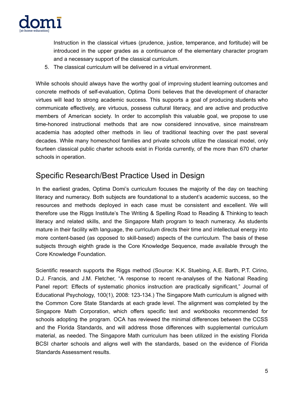

Instruction in the classical virtues (prudence, justice, temperance, and fortitude) will be introduced in the upper grades as a continuance of the elementary character program and a necessary support of the classical curriculum.

5. The classical curriculum will be delivered in a virtual environment.

While schools should always have the worthy goal of improving student learning outcomes and concrete methods of self-evaluation, Optima Domi believes that the development of character virtues will lead to strong academic success. This supports a goal of producing students who communicate effectively, are virtuous, possess cultural literacy, and are active and productive members of American society. In order to accomplish this valuable goal, we propose to use time-honored instructional methods that are now considered innovative, since mainstream academia has adopted other methods in lieu of traditional teaching over the past several decades. While many homeschool families and private schools utilize the classical model, only fourteen classical public charter schools exist in Florida currently, of the more than 670 charter schools in operation.

# <span id="page-4-0"></span>Specific Research/Best Practice Used in Design

In the earliest grades, Optima Domi's curriculum focuses the majority of the day on teaching literacy and numeracy. Both subjects are foundational to a student's academic success, so the resources and methods deployed in each case must be consistent and excellent. We will therefore use the Riggs Institute's The Writing & Spelling Road to Reading & Thinking to teach literacy and related skills, and the Singapore Math program to teach numeracy. As students mature in their facility with language, the curriculum directs their time and intellectual energy into more content-based (as opposed to skill-based) aspects of the curriculum. The basis of these subjects through eighth grade is the Core Knowledge Sequence, made available through the Core Knowledge Foundation.

Scientific research supports the Riggs method (Source: K.K. Stuebing, A.E. Barth, P.T. Cirino, D.J. Francis, and J.M. Fletcher, "A response to recent re-analyses of the National Reading Panel report: Effects of systematic phonics instruction are practically significant," Journal of Educational Psychology, 100(1), 2008: 123-134.) The Singapore Math curriculum is aligned with the Common Core State Standards at each grade level. The alignment was completed by the Singapore Math Corporation, which offers specific text and workbooks recommended for schools adopting the program. OCA has reviewed the minimal differences between the CCSS and the Florida Standards, and will address those differences with supplemental curriculum material, as needed. The Singapore Math curriculum has been utilized in the existing Florida BCSI charter schools and aligns well with the standards, based on the evidence of Florida Standards Assessment results.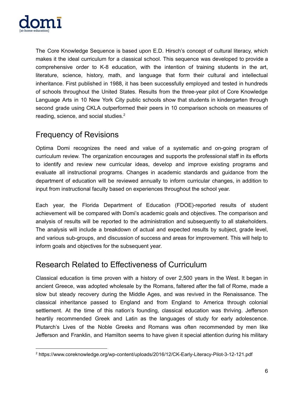

The Core Knowledge Sequence is based upon E.D. Hirsch's concept of cultural literacy, which makes it the ideal curriculum for a classical school. This sequence was developed to provide a comprehensive order to K-8 education, with the intention of training students in the art, literature, science, history, math, and language that form their cultural and intellectual inheritance. First published in 1988, it has been successfully employed and tested in hundreds of schools throughout the United States. Results from the three-year pilot of Core Knowledge Language Arts in 10 New York City public schools show that students in kindergarten through second grade using CKLA outperformed their peers in 10 comparison schools on measures of reading, science, and social studies. $2$ 

# <span id="page-5-0"></span>Frequency of Revisions

Optima Domi recognizes the need and value of a systematic and on-going program of curriculum review. The organization encourages and supports the professional staff in its efforts to identify and review new curricular ideas, develop and improve existing programs and evaluate all instructional programs. Changes in academic standards and guidance from the department of education will be reviewed annually to inform curricular changes, in addition to input from instructional faculty based on experiences throughout the school year.

Each year, the Florida Department of Education (FDOE)-reported results of student achievement will be compared with Domi's academic goals and objectives. The comparison and analysis of results will be reported to the administration and subsequently to all stakeholders. The analysis will include a breakdown of actual and expected results by subject, grade level, and various sub-groups, and discussion of success and areas for improvement. This will help to inform goals and objectives for the subsequent year.

# <span id="page-5-1"></span>Research Related to Effectiveness of Curriculum

Classical education is time proven with a history of over 2,500 years in the West. It began in ancient Greece, was adopted wholesale by the Romans, faltered after the fall of Rome, made a slow but steady recovery during the Middle Ages, and was revived in the Renaissance. The classical inheritance passed to England and from England to America through colonial settlement. At the time of this nation's founding, classical education was thriving. Jefferson heartily recommended Greek and Latin as the languages of study for early adolescence. Plutarch's Lives of the Noble Greeks and Romans was often recommended by men like Jefferson and Franklin, and Hamilton seems to have given it special attention during his military

<sup>2</sup> https://www.coreknowledge.org/wp-content/uploads/2016/12/CK-Early-Literacy-Pilot-3-12-121.pdf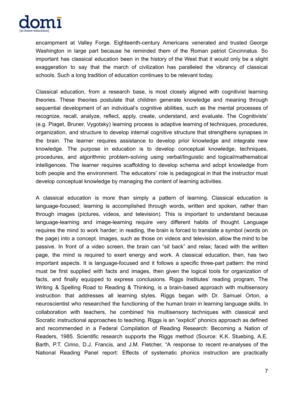

encampment at Valley Forge. Eighteenth-century Americans venerated and trusted George Washington in large part because he reminded them of the Roman patriot Cincinnatus. So important has classical education been in the history of the West that it would only be a slight exaggeration to say that the march of civilization has paralleled the vibrancy of classical schools. Such a long tradition of education continues to be relevant today.

Classical education, from a research base, is most closely aligned with cognitivist learning theories. These theories postulate that children generate knowledge and meaning through sequential development of an individual's cognitive abilities, such as the mental processes of recognize, recall, analyze, reflect, apply, create, understand, and evaluate. The Cognitivists' (e.g. Piaget, Bruner, Vygotsky) learning process is adaptive learning of techniques, procedures, organization, and structure to develop internal cognitive structure that strengthens synapses in the brain. The learner requires assistance to develop prior knowledge and integrate new knowledge. The purpose in education is to develop conceptual knowledge, techniques, procedures, and algorithmic problem-solving using verbal/linguistic and logical/mathematical intelligences. The learner requires scaffolding to develop schema and adopt knowledge from both people and the environment. The educators' role is pedagogical in that the instructor must develop conceptual knowledge by managing the content of learning activities.

A classical education is more than simply a pattern of learning. Classical education is language-focused; learning is accomplished through words, written and spoken, rather than through images (pictures, videos, and television). This is important to understand because language-learning and image-learning require very different habits of thought. Language requires the mind to work harder; in reading, the brain is forced to translate a symbol (words on the page) into a concept. Images, such as those on videos and television, allow the mind to be passive. In front of a video screen, the brain can "sit back" and relax; faced with the written page, the mind is required to exert energy and work. A classical education, then, has two important aspects. It is language-focused and it follows a specific three-part pattern: the mind must be first supplied with facts and images, then given the logical tools for organization of facts, and finally equipped to express conclusions. Riggs Institutes' reading program, The Writing & Spelling Road to Reading & Thinking, is a brain-based approach with multisensory instruction that addresses all learning styles. Riggs began with Dr. Samuel Orton, a neuroscientist who researched the functioning of the human brain in learning language skills. In collaboration with teachers, he combined his multisensory techniques with classical and Socratic instructional approaches to teaching. Riggs is an "explicit" phonics approach as defined and recommended in a Federal Compilation of Reading Research: Becoming a Nation of Readers, 1985. Scientific research supports the Riggs method (Source: K.K. Stuebing, A.E. Barth, P.T. Cirino, D.J. Francis, and J.M. Fletcher, "A response to recent re-analyses of the National Reading Panel report: Effects of systematic phonics instruction are practically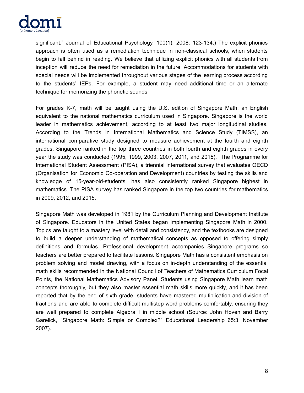

significant," Journal of Educational Psychology, 100(1), 2008: 123-134.) The explicit phonics approach is often used as a remediation technique in non-classical schools, when students begin to fall behind in reading. We believe that utilizing explicit phonics with all students from inception will reduce the need for remediation in the future. Accommodations for students with special needs will be implemented throughout various stages of the learning process according to the students' IEPs. For example, a student may need additional time or an alternate technique for memorizing the phonetic sounds.

For grades K-7, math will be taught using the U.S. edition of Singapore Math, an English equivalent to the national mathematics curriculum used in Singapore. Singapore is the world leader in mathematics achievement, according to at least two major longitudinal studies. According to the Trends in International Mathematics and Science Study (TIMSS), an international comparative study designed to measure achievement at the fourth and eighth grades, Singapore ranked in the top three countries in both fourth and eighth grades in every year the study was conducted (1995, 1999, 2003, 2007, 2011, and 2015). The Programme for International Student Assessment (PISA), a triennial international survey that evaluates OECD (Organisation for Economic Co-operation and Development) countries by testing the skills and knowledge of 15-year-old-students, has also consistently ranked Singapore highest in mathematics. The PISA survey has ranked Singapore in the top two countries for mathematics in 2009, 2012, and 2015.

Singapore Math was developed in 1981 by the Curriculum Planning and Development Institute of Singapore. Educators in the United States began implementing Singapore Math in 2000. Topics are taught to a mastery level with detail and consistency, and the textbooks are designed to build a deeper understanding of mathematical concepts as opposed to offering simply definitions and formulas. Professional development accompanies Singapore programs so teachers are better prepared to facilitate lessons. Singapore Math has a consistent emphasis on problem solving and model drawing, with a focus on in-depth understanding of the essential math skills recommended in the National Council of Teachers of Mathematics Curriculum Focal Points, the National Mathematics Advisory Panel. Students using Singapore Math learn math concepts thoroughly, but they also master essential math skills more quickly, and it has been reported that by the end of sixth grade, students have mastered multiplication and division of fractions and are able to complete difficult multistep word problems comfortably, ensuring they are well prepared to complete Algebra I in middle school (Source: John Hoven and Barry Garelick, "Singapore Math: Simple or Complex?" Educational Leadership 65:3, November 2007).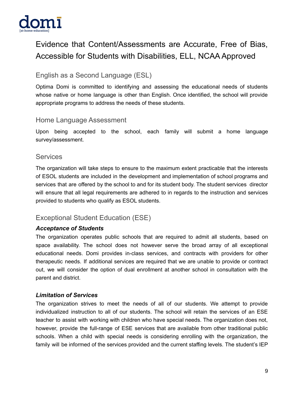

# <span id="page-8-0"></span>Evidence that Content/Assessments are Accurate, Free of Bias, Accessible for Students with Disabilities, ELL, NCAA Approved

# <span id="page-8-1"></span>English as a Second Language (ESL)

Optima Domi is committed to identifying and assessing the educational needs of students whose native or home language is other than English. Once identified, the school will provide appropriate programs to address the needs of these students.

#### <span id="page-8-2"></span>Home Language Assessment

Upon being accepted to the school, each family will submit a home language survey/assessment.

#### <span id="page-8-3"></span>**Services**

The organization will take steps to ensure to the maximum extent practicable that the interests of ESOL students are included in the development and implementation of school programs and services that are offered by the school to and for its student body. The student services director will ensure that all legal requirements are adhered to in regards to the instruction and services provided to students who qualify as ESOL students.

# <span id="page-8-4"></span>Exceptional Student Education (ESE)

#### <span id="page-8-5"></span>*Acceptance of Students*

The organization operates public schools that are required to admit all students, based on space availability. The school does not however serve the broad array of all exceptional educational needs. Domi provides in-class services, and contracts with providers for other therapeutic needs. If additional services are required that we are unable to provide or contract out, we will consider the option of dual enrollment at another school in consultation with the parent and district.

#### *Limitation of Services*

The organization strives to meet the needs of all of our students. We attempt to provide individualized instruction to all of our students. The school will retain the services of an ESE teacher to assist with working with children who have special needs. The organization does not, however, provide the full-range of ESE services that are available from other traditional public schools. When a child with special needs is considering enrolling with the organization, the family will be informed of the services provided and the current staffing levels. The student's IEP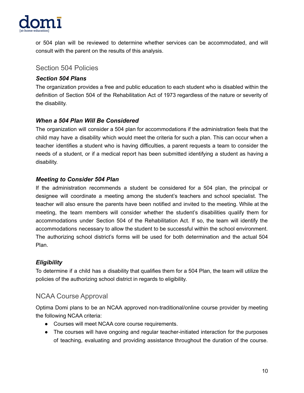

or 504 plan will be reviewed to determine whether services can be accommodated, and will consult with the parent on the results of this analysis.

#### <span id="page-9-0"></span>Section 504 Policies

#### *Section 504 Plans*

The organization provides a free and public education to each student who is disabled within the definition of Section 504 of the Rehabilitation Act of 1973 regardless of the nature or severity of the disability.

#### *When a 504 Plan Will Be Considered*

The organization will consider a 504 plan for accommodations if the administration feels that the child may have a disability which would meet the criteria for such a plan. This can occur when a teacher identifies a student who is having difficulties, a parent requests a team to consider the needs of a student, or if a medical report has been submitted identifying a student as having a disability.

#### *Meeting to Consider 504 Plan*

If the administration recommends a student be considered for a 504 plan, the principal or designee will coordinate a meeting among the student's teachers and school specialist. The teacher will also ensure the parents have been notified and invited to the meeting. While at the meeting, the team members will consider whether the student's disabilities qualify them for accommodations under Section 504 of the Rehabilitation Act. If so, the team will identify the accommodations necessary to allow the student to be successful within the school environment. The authorizing school district's forms will be used for both determination and the actual 504 Plan.

#### *Eligibility*

To determine if a child has a disability that qualifies them for a 504 Plan, the team will utilize the policies of the authorizing school district in regards to eligibility.

# <span id="page-9-1"></span>NCAA Course Approval

Optima Domi plans to be an NCAA approved non-traditional/online course provider by meeting the following NCAA criteria:

- Courses will meet NCAA core course requirements.
- The courses will have ongoing and regular teacher-initiated interaction for the purposes of teaching, evaluating and providing assistance throughout the duration of the course.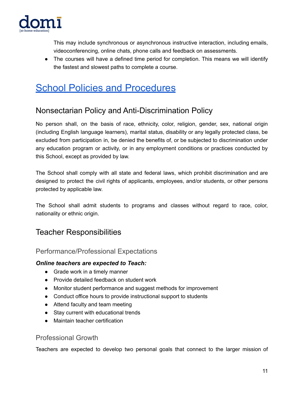

This may include synchronous or asynchronous instructive interaction, including emails, videoconferencing, online chats, phone calls and feedback on assessments.

• The courses will have a defined time period for completion. This means we will identify the fastest and slowest paths to complete a course.

# <span id="page-10-0"></span>**School Policies and [Procedures](https://www.sweetprocess.com/kb/qM1VCNbAktOz/)**

# <span id="page-10-1"></span>Nonsectarian Policy and Anti-Discrimination Policy

No person shall, on the basis of race, ethnicity, color, religion, gender, sex, national origin (including English language learners), marital status, disability or any legally protected class, be excluded from participation in, be denied the benefits of, or be subjected to discrimination under any education program or activity, or in any employment conditions or practices conducted by this School, except as provided by law.

The School shall comply with all state and federal laws, which prohibit discrimination and are designed to protect the civil rights of applicants, employees, and/or students, or other persons protected by applicable law.

The School shall admit students to programs and classes without regard to race, color, nationality or ethnic origin.

# <span id="page-10-2"></span>Teacher Responsibilities

# <span id="page-10-3"></span>Performance/Professional Expectations

#### *Online teachers are expected to Teach:*

- Grade work in a timely manner
- Provide detailed feedback on student work
- Monitor student performance and suggest methods for improvement
- Conduct office hours to provide instructional support to students
- Attend faculty and team meeting
- Stay current with educational trends
- Maintain teacher certification

# <span id="page-10-4"></span>Professional Growth

Teachers are expected to develop two personal goals that connect to the larger mission of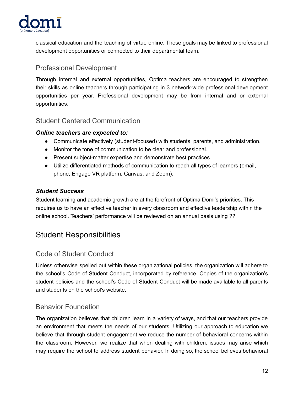

classical education and the teaching of virtue online. These goals may be linked to professional development opportunities or connected to their departmental team.

# <span id="page-11-0"></span>Professional Development

Through internal and external opportunities, Optima teachers are encouraged to strengthen their skills as online teachers through participating in 3 network-wide professional development opportunities per year. Professional development may be from internal and or external opportunities.

### <span id="page-11-1"></span>Student Centered Communication

#### *Online teachers are expected to:*

- Communicate effectively (student-focused) with students, parents, and administration.
- Monitor the tone of communication to be clear and professional.
- Present subject-matter expertise and demonstrate best practices.
- Utilize differentiated methods of communication to reach all types of learners (email, phone, Engage VR platform, Canvas, and Zoom).

#### *Student Success*

Student learning and academic growth are at the forefront of Optima Domi's priorities. This requires us to have an effective teacher in every classroom and effective leadership within the online school. Teachers' performance will be reviewed on an annual basis using ??

# <span id="page-11-2"></span>Student Responsibilities

# <span id="page-11-3"></span>Code of Student Conduct

Unless otherwise spelled out within these organizational policies, the organization will adhere to the school's Code of Student Conduct, incorporated by reference. Copies of the organization's student policies and the school's Code of Student Conduct will be made available to all parents and students on the school's website.

# <span id="page-11-4"></span>Behavior Foundation

The organization believes that children learn in a variety of ways, and that our teachers provide an environment that meets the needs of our students. Utilizing our approach to education we believe that through student engagement we reduce the number of behavioral concerns within the classroom. However, we realize that when dealing with children, issues may arise which may require the school to address student behavior. In doing so, the school believes behavioral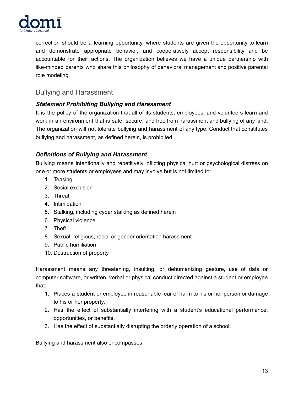

correction should be a learning opportunity, where students are given the opportunity to learn and demonstrate appropriate behavior, and cooperatively accept responsibility and be accountable for their actions. The organization believes we have a unique partnership with like-minded parents who share this philosophy of behavioral management and positive parental role modeling.

# <span id="page-12-0"></span>Bullying and Harassment

#### *Statement Prohibiting Bullying and Harassment*

It is the policy of the organization that all of its students, employees, and volunteers learn and work in an environment that is safe, secure, and free from harassment and bullying of any kind. The organization will not tolerate bullying and harassment of any type. Conduct that constitutes bullying and harassment, as defined herein, is prohibited.

#### *Definitions of Bullying and Harassment*

Bullying means intentionally and repetitively inflicting physical hurt or psychological distress on one or more students or employees and may involve but is not limited to:

- 1. Teasing
- 2. Social exclusion
- 3. Threat
- 4. Intimidation
- 5. Stalking, including cyber stalking as defined herein
- 6. Physical violence
- 7. Theft
- 8. Sexual, religious, racial or gender orientation harassment
- 9. Public humiliation
- 10. Destruction of property

Harassment means any threatening, insulting, or dehumanizing gesture, use of data or computer software, or written, verbal or physical conduct directed against a student or employee that:

- 1. Places a student or employee in reasonable fear of harm to his or her person or damage to his or her property.
- 2. Has the effect of substantially interfering with a student's educational performance, opportunities, or benefits.
- 3. Has the effect of substantially disrupting the orderly operation of a school.

Bullying and harassment also encompasses: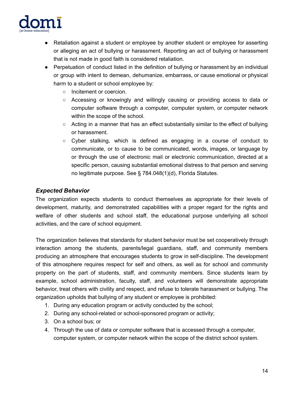

- Retaliation against a student or employee by another student or employee for asserting or alleging an act of bullying or harassment. Reporting an act of bullying or harassment that is not made in good faith is considered retaliation.
- Perpetuation of conduct listed in the definition of bullying or harassment by an individual or group with intent to demean, dehumanize, embarrass, or cause emotional or physical harm to a student or school employee by:
	- Incitement or coercion.
	- Accessing or knowingly and willingly causing or providing access to data or computer software through a computer, computer system, or computer network within the scope of the school.
	- $\circ$  Acting in a manner that has an effect substantially similar to the effect of bullying or harassment.
	- $\circ$  Cyber stalking, which is defined as engaging in a course of conduct to communicate, or to cause to be communicated, words, images, or language by or through the use of electronic mail or electronic communication, directed at a specific person, causing substantial emotional distress to that person and serving no legitimate purpose. See § 784.048(1)(d), Florida Statutes.

#### *Expected Behavior*

The organization expects students to conduct themselves as appropriate for their levels of development, maturity, and demonstrated capabilities with a proper regard for the rights and welfare of other students and school staff, the educational purpose underlying all school activities, and the care of school equipment.

The organization believes that standards for student behavior must be set cooperatively through interaction among the students, parents/legal guardians, staff, and community members producing an atmosphere that encourages students to grow in self-discipline. The development of this atmosphere requires respect for self and others, as well as for school and community property on the part of students, staff, and community members. Since students learn by example, school administration, faculty, staff, and volunteers will demonstrate appropriate behavior, treat others with civility and respect, and refuse to tolerate harassment or bullying. The organization upholds that bullying of any student or employee is prohibited:

- 1. During any education program or activity conducted by the school;
- 2. During any school-related or school-sponsored program or activity;
- 3. On a school bus; or
- 4. Through the use of data or computer software that is accessed through a computer, computer system, or computer network within the scope of the district school system.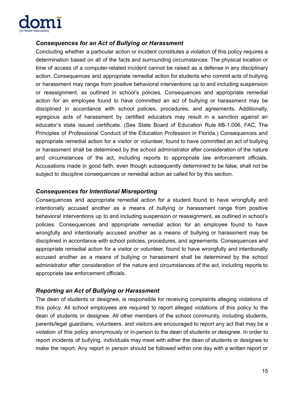

#### *Consequences for an Act of Bullying or Harassment*

Concluding whether a particular action or incident constitutes a violation of this policy requires a determination based on all of the facts and surrounding circumstances. The physical location or time of access of a computer-related incident cannot be raised as a defense in any disciplinary action. Consequences and appropriate remedial action for students who commit acts of bullying or harassment may range from positive behavioral interventions up to and including suspension or reassignment, as outlined in school's policies. Consequences and appropriate remedial action for an employee found to have committed an act of bullying or harassment may be disciplined in accordance with school policies, procedures, and agreements. Additionally, egregious acts of harassment by certified educators may result in a sanction against an educator's state issued certificate. (See State Board of Education Rule 6B-1.006, FAC, The Principles of Professional Conduct of the Education Profession in Florida.) Consequences and appropriate remedial action for a visitor or volunteer, found to have committed an act of bullying or harassment shall be determined by the school administrator after consideration of the nature and circumstances of the act, including reports to appropriate law enforcement officials. Accusations made in good faith, even though subsequently determined to be false, shall not be subject to discipline consequences or remedial action as called for by this section.

#### *Consequences for Intentional Misreporting*

Consequences and appropriate remedial action for a student found to have wrongfully and intentionally accused another as a means of bullying or harassment range from positive behavioral interventions up to and including suspension or reassignment, as outlined in school's policies. Consequences and appropriate remedial action for an employee found to have wrongfully and intentionally accused another as a means of bullying or harassment may be disciplined in accordance with school policies, procedures, and agreements. Consequences and appropriate remedial action for a visitor or volunteer, found to have wrongfully and intentionally accused another as a means of bullying or harassment shall be determined by the school administrator after consideration of the nature and circumstances of the act, including reports to appropriate law enforcement officials.

#### *Reporting an Act of Bullying or Harassment*

The dean of students or designee, is responsible for receiving complaints alleging violations of this policy. All school employees are required to report alleged violations of this policy to the dean of students or designee. All other members of the school community, including students, parents/legal guardians, volunteers, and visitors are encouraged to report any act that may be a violation of this policy anonymously or in-person to the dean of students or designee. In order to report incidents of bullying, individuals may meet with either the dean of students or designee to make the report. Any report in person should be followed within one day with a written report or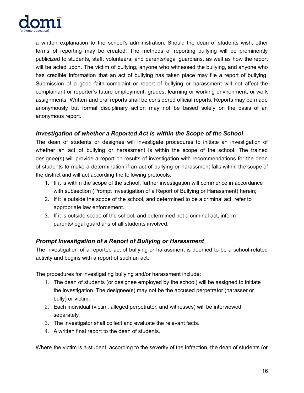

a written explanation to the school's administration. Should the dean of students wish, other forms of reporting may be created. The methods of reporting bullying will be prominently publicized to students, staff, volunteers, and parents/legal guardians, as well as how the report will be acted upon. The victim of bullying, anyone who witnessed the bullying, and anyone who has credible information that an act of bullying has taken place may file a report of bullying. Submission of a good faith complaint or report of bullying or harassment will not affect the complainant or reporter's future employment, grades, learning or working environment, or work assignments. Written and oral reports shall be considered official reports. Reports may be made anonymously but formal disciplinary action may not be based solely on the basis of an anonymous report.

#### *Investigation of whether a Reported Act is within the Scope of the School*

The dean of students or designee will investigate procedures to initiate an investigation of whether an act of bullying or harassment is within the scope of the school. The trained designee(s) will provide a report on results of investigation with recommendations for the dean of students to make a determination if an act of bullying or harassment falls within the scope of the district and will act according the following protocols:

- 1. If it is within the scope of the school, further investigation will commence in accordance with subsection (Prompt Investigation of a Report of Bullying or Harassment) herein;
- 2. If it is outside the scope of the school, and determined to be a criminal act, refer to appropriate law enforcement.
- 3. If it is outside scope of the school, and determined not a criminal act, inform parents/legal guardians of all students involved.

#### *Prompt Investigation of a Report of Bullying or Harassment*

The investigation of a reported act of bullying or harassment is deemed to be a school-related activity and begins with a report of such an act.

The procedures for investigating bullying and/or harassment include:

- 1. The dean of students (or designee employed by the school) will be assigned to initiate the investigation. The designee(s) may not be the accused perpetrator (harasser or bully) or victim.
- 2. Each individual (victim, alleged perpetrator, and witnesses) will be interviewed separately.
- 3. The investigator shall collect and evaluate the relevant facts.
- 4. A written final report to the dean of students.

Where the victim is a student, according to the severity of the infraction, the dean of students (or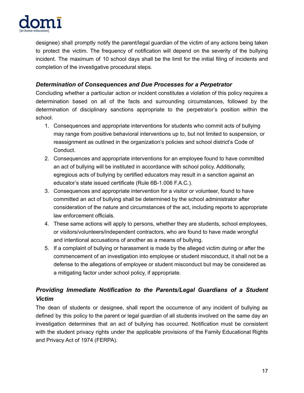

designee) shall promptly notify the parent/legal guardian of the victim of any actions being taken to protect the victim. The frequency of notification will depend on the severity of the bullying incident. The maximum of 10 school days shall be the limit for the initial filing of incidents and completion of the investigative procedural steps.

#### *Determination of Consequences and Due Processes for a Perpetrator*

Concluding whether a particular action or incident constitutes a violation of this policy requires a determination based on all of the facts and surrounding circumstances, followed by the determination of disciplinary sanctions appropriate to the perpetrator's position within the school.

- 1. Consequences and appropriate interventions for students who commit acts of bullying may range from positive behavioral interventions up to, but not limited to suspension, or reassignment as outlined in the organization's policies and school district's Code of Conduct.
- 2. Consequences and appropriate interventions for an employee found to have committed an act of bullying will be instituted in accordance with school policy. Additionally, egregious acts of bullying by certified educators may result in a sanction against an educator's state issued certificate (Rule 6B-1.006 F.A.C.).
- 3. Consequences and appropriate intervention for a visitor or volunteer, found to have committed an act of bullying shall be determined by the school administrator after consideration of the nature and circumstances of the act, including reports to appropriate law enforcement officials.
- 4. These same actions will apply to persons, whether they are students, school employees, or visitors/volunteers/independent contractors, who are found to have made wrongful and intentional accusations of another as a means of bullying.
- 5. If a complaint of bullying or harassment is made by the alleged victim during or after the commencement of an investigation into employee or student misconduct, it shall not be a defense to the allegations of employee or student misconduct but may be considered as a mitigating factor under school policy, if appropriate.

# *Providing Immediate Notification to the Parents/Legal Guardians of a Student Victim*

The dean of students or designee, shall report the occurrence of any incident of bullying as defined by this policy to the parent or legal guardian of all students involved on the same day an investigation determines that an act of bullying has occurred. Notification must be consistent with the student privacy rights under the applicable provisions of the Family Educational Rights and Privacy Act of 1974 (FERPA).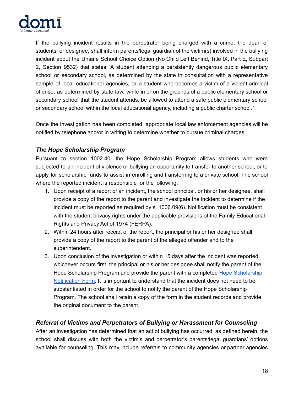

If the bullying incident results in the perpetrator being charged with a crime, the dean of students, or designee, shall inform parents/legal guardian of the victim(s) involved in the bullying incident about the Unsafe School Choice Option (No Child Left Behind, Title IX, Part E, Subpart 2, Section 9532) that states "A student attending a persistently dangerous public elementary school or secondary school, as determined by the state in consultation with a representative sample of local educational agencies, or a student who becomes a victim of a violent criminal offense, as determined by state law, while in or on the grounds of a public elementary school or secondary school that the student attends, be allowed to attend a safe public elementary school or secondary school within the local educational agency, including a public charter school."

Once the investigation has been completed, appropriate local law enforcement agencies will be notified by telephone and/or in writing to determine whether to pursue criminal charges.

#### *The Hope Scholarship Program*

Pursuant to section 1002.40, the Hope Scholarship Program allows students who were subjected to an incident of violence or bullying an opportunity to transfer to another school, or to apply for scholarship funds to assist in enrolling and transferring to a private school. The school where the reported incident is responsible for the following:

- 1. Upon receipt of a report of an incident, the school principal, or his or her designee, shall provide a copy of the report to the parent and investigate the incident to determine if the incident must be reported as required by s. 1006.09(6). Notification must be consistent with the student privacy rights under the applicable provisions of the Family Educational Rights and Privacy Act of 1974 (FERPA).
- 2. Within 24 hours after receipt of the report, the principal or his or her designee shall provide a copy of the report to the parent of the alleged offender and to the superintendent.
- 3. Upon conclusion of the investigation or within 15 days after the incident was reported, whichever occurs first, the principal or his or her designee shall notify the parent of the Hope [Scholarship](http://www.fldoe.org/core/fileparse.php/18648/urlt/HopeNotificationForm.pdf) Program and provide the parent with a completed Hope Scholarship [Notification](http://www.fldoe.org/core/fileparse.php/18648/urlt/HopeNotificationForm.pdf) Form. It is important to understand that the incident does not need to be substantiated in order for the school to notify the parent of the Hope Scholarship Program. The school shall retain a copy of the form in the student records and provide the original document to the parent.

#### *Referral of Victims and Perpetrators of Bullying or Harassment for Counseling*

After an investigation has determined that an act of bullying has occurred, as defined herein, the school shall discuss with both the victim's and perpetrator's parents/legal guardians' options available for counseling. This may include referrals to community agencies or partner agencies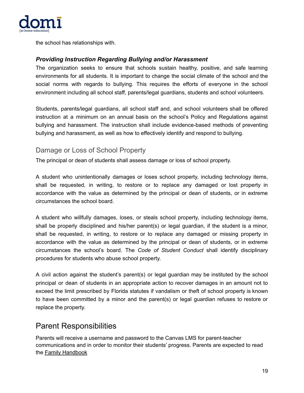

the school has relationships with.

#### *Providing Instruction Regarding Bullying and/or Harassment*

The organization seeks to ensure that schools sustain healthy, positive, and safe learning environments for all students. It is important to change the social climate of the school and the social norms with regards to bullying. This requires the efforts of everyone in the school environment including all school staff, parents/legal guardians, students and school volunteers.

Students, parents/legal guardians, all school staff and, and school volunteers shall be offered instruction at a minimum on an annual basis on the school's Policy and Regulations against bullying and harassment. The instruction shall include evidence-based methods of preventing bullying and harassment, as well as how to effectively identify and respond to bullying.

#### <span id="page-18-0"></span>Damage or Loss of School Property

The principal or dean of students shall assess damage or loss of school property.

A student who unintentionally damages or loses school property, including technology items, shall be requested, in writing, to restore or to replace any damaged or lost property in accordance with the value as determined by the principal or dean of students, or in extreme circumstances the school board.

A student who willfully damages, loses, or steals school property, including technology items, shall be properly disciplined and his/her parent(s) or legal guardian, if the student is a minor, shall be requested, in writing, to restore or to replace any damaged or missing property in accordance with the value as determined by the principal or dean of students, or in extreme circumstances the school's board. The *Code of Student Conduct* shall identify disciplinary procedures for students who abuse school property.

A civil action against the student's parent(s) or legal guardian may be instituted by the school principal or dean of students in an appropriate action to recover damages in an amount not to exceed the limit prescribed by Florida statutes if vandalism or theft of school property is known to have been committed by a minor and the parent(s) or legal guardian refuses to restore or replace the property.

# <span id="page-18-1"></span>Parent Responsibilities

Parents will receive a username and password to the Canvas LMS for parent-teacher communications and in order to monitor their students' progress. Parents are expected to read the Family [Handbook](https://docs.google.com/document/u/0/d/1FlJV6GzSdcSfGRGSR7x0M0yURE4tCJXKg38heWlNbQc/edit)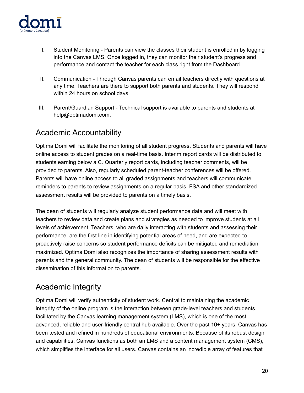

- I. Student Monitoring Parents can view the classes their student is enrolled in by logging into the Canvas LMS. Once logged in, they can monitor their student's progress and performance and contact the teacher for each class right from the Dashboard.
- II. Communication Through Canvas parents can email teachers directly with questions at any time. Teachers are there to support both parents and students. They will respond within 24 hours on school days.
- III. Parent/Guardian Support Technical support is available to parents and students at help@optimadomi.com.

# <span id="page-19-0"></span>Academic Accountability

Optima Domi will facilitate the monitoring of all student progress. Students and parents will have online access to student grades on a real-time basis. Interim report cards will be distributed to students earning below a C. Quarterly report cards, including teacher comments, will be provided to parents. Also, regularly scheduled parent-teacher conferences will be offered. Parents will have online access to all graded assignments and teachers will communicate reminders to parents to review assignments on a regular basis. FSA and other standardized assessment results will be provided to parents on a timely basis.

The dean of students will regularly analyze student performance data and will meet with teachers to review data and create plans and strategies as needed to improve students at all levels of achievement. Teachers, who are daily interacting with students and assessing their performance, are the first line in identifying potential areas of need, and are expected to proactively raise concerns so student performance deficits can be mitigated and remediation maximized. Optima Domi also recognizes the importance of sharing assessment results with parents and the general community. The dean of students will be responsible for the effective dissemination of this information to parents.

# <span id="page-19-1"></span>Academic Integrity

Optima Domi will verify authenticity of student work. Central to maintaining the academic integrity of the online program is the interaction between grade-level teachers and students facilitated by the Canvas learning management system (LMS), which is one of the most advanced, reliable and user-friendly central hub available. Over the past 10+ years, Canvas has been tested and refined in hundreds of educational environments. Because of its robust design and capabilities, Canvas functions as both an LMS and a content management system (CMS), which simplifies the interface for all users. Canvas contains an incredible array of features that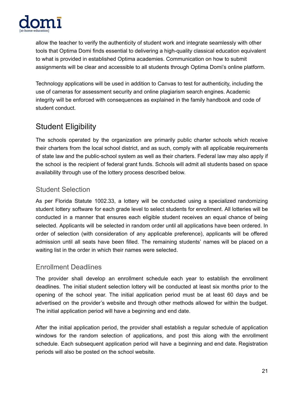

allow the teacher to verify the authenticity of student work and integrate seamlessly with other tools that Optima Domi finds essential to delivering a high-quality classical education equivalent to what is provided in established Optima academies. Communication on how to submit assignments will be clear and accessible to all students through Optima Domi's online platform.

Technology applications will be used in addition to Canvas to test for authenticity, including the use of cameras for assessment security and online plagiarism search engines. Academic integrity will be enforced with consequences as explained in the family handbook and code of student conduct.

# <span id="page-20-0"></span>Student Eligibility

The schools operated by the organization are primarily public charter schools which receive their charters from the local school district, and as such, comply with all applicable requirements of state law and the public-school system as well as their charters. Federal law may also apply if the school is the recipient of federal grant funds. Schools will admit all students based on space availability through use of the lottery process described below.

# <span id="page-20-1"></span>Student Selection

As per Florida Statute 1002.33, a lottery will be conducted using a specialized randomizing student lottery software for each grade level to select students for enrollment. All lotteries will be conducted in a manner that ensures each eligible student receives an equal chance of being selected. Applicants will be selected in random order until all applications have been ordered. In order of selection (with consideration of any applicable preference), applicants will be offered admission until all seats have been filled. The remaining students' names will be placed on a waiting list in the order in which their names were selected.

# <span id="page-20-2"></span>Enrollment Deadlines

The provider shall develop an enrollment schedule each year to establish the enrollment deadlines. The initial student selection lottery will be conducted at least six months prior to the opening of the school year. The initial application period must be at least 60 days and be advertised on the provider's website and through other methods allowed for within the budget. The initial application period will have a beginning and end date.

After the initial application period, the provider shall establish a regular schedule of application windows for the random selection of applications, and post this along with the enrollment schedule. Each subsequent application period will have a beginning and end date. Registration periods will also be posted on the school website.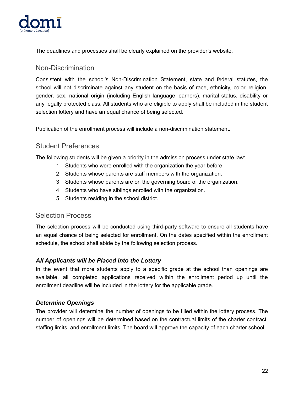

The deadlines and processes shall be clearly explained on the provider's website.

#### <span id="page-21-0"></span>Non-Discrimination

Consistent with the school's Non-Discrimination Statement, state and federal statutes, the school will not discriminate against any student on the basis of race, ethnicity, color, religion, gender, sex, national origin (including English language learners), marital status, disability or any legally protected class. All students who are eligible to apply shall be included in the student selection lottery and have an equal chance of being selected.

<span id="page-21-1"></span>Publication of the enrollment process will include a non-discrimination statement.

#### Student Preferences

The following students will be given a priority in the admission process under state law:

- 1. Students who were enrolled with the organization the year before.
- 2. Students whose parents are staff members with the organization.
- 3. Students whose parents are on the governing board of the organization.
- 4. Students who have siblings enrolled with the organization.
- 5. Students residing in the school district.

#### <span id="page-21-2"></span>Selection Process

The selection process will be conducted using third-party software to ensure all students have an equal chance of being selected for enrollment. On the dates specified within the enrollment schedule, the school shall abide by the following selection process.

#### *All Applicants will be Placed into the Lottery*

In the event that more students apply to a specific grade at the school than openings are available, all completed applications received within the enrollment period up until the enrollment deadline will be included in the lottery for the applicable grade.

#### *Determine Openings*

The provider will determine the number of openings to be filled within the lottery process. The number of openings will be determined based on the contractual limits of the charter contract, staffing limits, and enrollment limits. The board will approve the capacity of each charter school.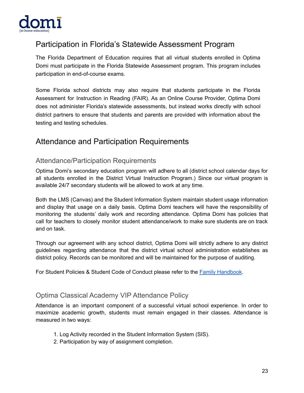

# <span id="page-22-0"></span>Participation in Florida's Statewide Assessment Program

The Florida Department of Education requires that all virtual students enrolled in Optima Domi must participate in the Florida Statewide Assessment program. This program includes participation in end-of-course exams.

Some Florida school districts may also require that students participate in the Florida Assessment for Instruction in Reading (FAIR). As an Online Course Provider, Optima Domi does not administer Florida's statewide assessments, but instead works directly with school district partners to ensure that students and parents are provided with information about the testing and testing schedules.

# <span id="page-22-1"></span>Attendance and Participation Requirements

#### <span id="page-22-2"></span>Attendance/Participation Requirements

Optima Domi's secondary education program will adhere to all (district school calendar days for all students enrolled in the District Virtual Instruction Program.) Since our virtual program is available 24/7 secondary students will be allowed to work at any time.

Both the LMS (Canvas) and the Student Information System maintain student usage information and display that usage on a daily basis. Optima Domi teachers will have the responsibility of monitoring the students' daily work and recording attendance. Optima Domi has policies that call for teachers to closely monitor student attendance/work to make sure students are on track and on task.

Through our agreement with any school district, Optima Domi will strictly adhere to any district guidelines regarding attendance that the district virtual school administration establishes as district policy. Records can be monitored and will be maintained for the purpose of auditing.

For Student Policies & Student Code of Conduct please refer to the Family [Handbook](https://docs.google.com/document/d/1FlJV6GzSdcSfGRGSR7x0M0yURE4tCJXKg38heWlNbQc/edit?usp=sharing).

#### <span id="page-22-3"></span>Optima Classical Academy VIP Attendance Policy

Attendance is an important component of a successful virtual school experience. In order to maximize academic growth, students must remain engaged in their classes. Attendance is measured in two ways:

- 1. Log Activity recorded in the Student Information System (SIS).
- 2. Participation by way of assignment completion.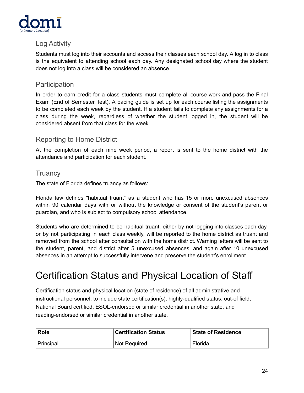

# <span id="page-23-0"></span>Log Activity

Students must log into their accounts and access their classes each school day. A log in to class is the equivalent to attending school each day. Any designated school day where the student does not log into a class will be considered an absence.

### <span id="page-23-1"></span>**Participation**

In order to earn credit for a class students must complete all course work and pass the Final Exam (End of Semester Test). A pacing guide is set up for each course listing the assignments to be completed each week by the student. If a student fails to complete any assignments for a class during the week, regardless of whether the student logged in, the student will be considered absent from that class for the week.

# <span id="page-23-2"></span>Reporting to Home District

At the completion of each nine week period, a report is sent to the home district with the attendance and participation for each student.

#### <span id="page-23-3"></span>**Truancy**

The state of Florida defines truancy as follows:

Florida law defines "habitual truant" as a student who has 15 or more unexcused absences within 90 calendar days with or without the knowledge or consent of the student's parent or guardian, and who is subject to compulsory school attendance.

Students who are determined to be habitual truant, either by not logging into classes each day, or by not participating in each class weekly, will be reported to the home district as truant and removed from the school after consultation with the home district. Warning letters will be sent to the student, parent, and district after 5 unexcused absences, and again after 10 unexcused absences in an attempt to successfully intervene and preserve the student's enrollment.

# <span id="page-23-4"></span>Certification Status and Physical Location of Staff

Certification status and physical location (state of residence) of all administrative and instructional personnel, to include state certification(s), highly-qualified status, out-of field, National Board certified, ESOL-endorsed or similar credential in another state, and reading-endorsed or similar credential in another state.

| <b>Role</b> | <b>Certification Status</b> | <b>State of Residence</b> |
|-------------|-----------------------------|---------------------------|
| ∣ Principal | Not Required                | Florida                   |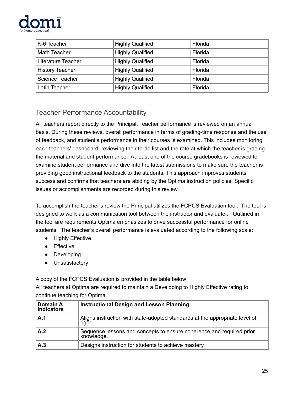

| K-6 Teacher            | <b>Highly Qualified</b> | Florida |
|------------------------|-------------------------|---------|
| <b>Math Teacher</b>    | <b>Highly Qualified</b> | Florida |
| Literature Teacher     | <b>Highly Qualified</b> | Florida |
| <b>History Teacher</b> | <b>Highly Qualified</b> | Florida |
| Science Teacher        | <b>Highly Qualified</b> | Florida |
| Latin Teacher          | <b>Highly Qualified</b> | Florida |

# <span id="page-24-0"></span>Teacher Performance Accountability

All teachers report directly to the Principal. Teacher performance is reviewed on an annual basis. During these reviews, overall performance in terms of grading-time response and the use of feedback, and student's performance in their courses is examined. This includes monitoring each teachers' dashboard, reviewing their to-do list and the rate at which the teacher is grading the material and student performance. At least one of the course gradebooks is reviewed to examine student performance and dive into the latest submissions to make sure the teacher is providing good instructional feedback to the students. This approach improves students' success and confirms that teachers are abiding by the Optima instruction policies. Specific issues or accomplishments are recorded during this review.

To accomplish the teacher's review the Principal utilizes the FCPCS Evaluation tool. The tool is designed to work as a communication tool between the instructor and evaluator. Outlined in the tool are requirements Optima emphasizes to drive successful performance for online students. The teacher's overall performance is evaluated according to the following scale:

- Highly Effective
- Effective
- Developing
- Unsatisfactory

A copy of the FCPCS Evaluation is provided in the table below:

All teachers at Optima are required to maintain a Developing to Highly Effective rating to continue teaching for Optima.

| Domain A<br><b>Indicators</b> | <b>Instructional Design and Lesson Planning</b>                                       |
|-------------------------------|---------------------------------------------------------------------------------------|
| A.1                           | Aligns instruction with state-adopted standards at the appropriate level of<br>rigor. |
| A.2                           | Sequence lessons and concepts to ensure coherence and required prior<br>knowledge.    |
| A.3                           | Designs instruction for students to achieve mastery.                                  |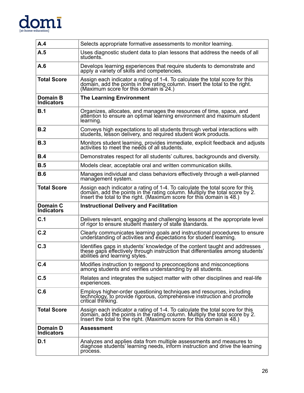

| A.4                                  | Selects appropriate formative assessments to monitor learning.                                                                                                                                                                       |
|--------------------------------------|--------------------------------------------------------------------------------------------------------------------------------------------------------------------------------------------------------------------------------------|
| A.5                                  | Uses diagnostic student data to plan lessons that address the needs of all<br>students.                                                                                                                                              |
| A.6                                  | Develops learning experiences that require students to demonstrate and<br>apply a variety of skills and competencies.                                                                                                                |
| <b>Total Score</b>                   | Assign each indicator a rating of 1-4. To calculate the total score for this<br>domain, add the points in the rating column. Insert the total to the right.<br>(Maximum score for this domain is 24.)                                |
| Domain B<br><b>Indicators</b>        | <b>The Learning Environment</b>                                                                                                                                                                                                      |
| B.1                                  | Organizes, allocates, and manages the resources of time, space, and<br>attention to ensure an optimal learning environment and maximum student<br>learning.                                                                          |
| B.2                                  | Conveys high expectations to all students through verbal interactions with<br>students, lesson delivery, and required student work products.                                                                                         |
| B.3                                  | Monitors student learning, provides immediate, explicit feedback and adjusts<br>activities to meet the needs of all students.                                                                                                        |
| B.4                                  | Demonstrates respect for all students' cultures, backgrounds and diversity.                                                                                                                                                          |
| B.5                                  | Models clear, acceptable oral and written communication skills.                                                                                                                                                                      |
| B.6                                  | Manages individual and class behaviors effectively through a well-planned<br>manağement system.                                                                                                                                      |
| <b>Total Score</b>                   | Assign each indicator a rating of 1-4. To calculate the total score for this<br>domain, add the points in the rating column. Multiply the total score by 2.<br>Insert the total to the right. (Maximum score for this domain is 48.) |
|                                      |                                                                                                                                                                                                                                      |
| <b>Domain C</b><br><b>Indicators</b> | <b>Instructional Delivery and Facilitation</b>                                                                                                                                                                                       |
| C.1                                  | Delivers relevant, engaging and challenging lessons at the appropriate level of rigor to ensure student mastery of state standards.                                                                                                  |
| C.2                                  | Clearly communicates learning goals and instructional procedures to ensure understanding of activities and expectations for student learning.                                                                                        |
| C.3                                  | Identifies gaps in students' knowledge of the content taught and addresses these gaps effectively through instruction that differentiates among students' abilities and learning styles.                                             |
| C.4                                  | Modifies instruction to respond to preconceptions and misconceptions<br>among students and verifies understanding by all students.                                                                                                   |
| C.5                                  | Relates and integrates the subject matter with other disciplines and real-life<br>experiences.                                                                                                                                       |
| C.6                                  | Employs higher-order questioning techniques and resources, including<br>technology, to provide rigorous, comprehensive instruction and promote<br>critical thinking.                                                                 |
| <b>Total Score</b>                   | Assign each indicator a rating of 1-4. To calculate the total score for this<br>domain, add the points in the rating column. Multiply the total score by 2.<br>Insert the total to the right. (Maximum score for this domain is 48.) |
| Domain D<br><b>Indicators</b>        | <b>Assessment</b>                                                                                                                                                                                                                    |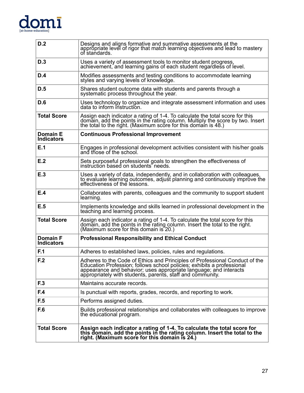# $\underset{\text{[at-home-eduction]}}{\text{dome-education]}}\mathbf{1}$

| D.2                                  | Designs and aligns formative and summative assessments at the<br>appropriate level of rigor that match learning objectives and lead to mastery<br>of standards.                                                                                                                          |
|--------------------------------------|------------------------------------------------------------------------------------------------------------------------------------------------------------------------------------------------------------------------------------------------------------------------------------------|
| D.3                                  | Uses a variety of assessment tools to monitor student progress,<br>achievement, and learning gains of each student regardless of level.                                                                                                                                                  |
| D.4                                  | Modifies assessments and testing conditions to accommodate learning<br>styles and varying levels of knowledge.                                                                                                                                                                           |
| D.5                                  | Shares student outcome data with students and parents through a<br>systematic process throughout the year.                                                                                                                                                                               |
| D.6                                  | Uses technology to organize and integrate assessment information and uses<br>data to inform instruction.                                                                                                                                                                                 |
| <b>Total Score</b>                   | Assign each indicator a rating of 1-4. To calculate the total score for this<br>domain, add the points in the rating column. Multiply the score by two. Insert the total to the right. (Maximum score for this domain is 48.)                                                            |
| <b>Domain E</b><br><b>Indicators</b> | <b>Continuous Professional Improvement</b>                                                                                                                                                                                                                                               |
| E.1                                  | Engages in professional development activities consistent with his/her goals<br>and those of the school.                                                                                                                                                                                 |
| E.2                                  | Sets purposeful professional goals to strengthen the effectiveness of instruction based on students' needs.                                                                                                                                                                              |
| E.3                                  | Uses a variety of data, independently, and in collaboration with colleagues,<br>to evaluate learning outcomes, adjust planning and continuously improve the<br>effectiveness of the lessons.                                                                                             |
| E.4                                  | Collaborates with parents, colleagues and the community to support student<br>learning.                                                                                                                                                                                                  |
| E.5                                  | Implements knowledge and skills learned in professional development in the<br>teaching and learning process.                                                                                                                                                                             |
| <b>Total Score</b>                   | Assign each indicator a rating of 1-4. To calculate the total score for this<br>domain, add the points in the rating column. Insert the total to the right.<br>(Maximum score for this domain is 20.)                                                                                    |
| <b>Domain F</b><br><b>Indicators</b> | <b>Professional Responsibility and Ethical Conduct</b>                                                                                                                                                                                                                                   |
| F.1                                  | Adheres to established laws, policies, rules and regulations.                                                                                                                                                                                                                            |
| F.2                                  | Adheres to the Code of Ethics and Principles of Professional Conduct of the<br>Education Profession; follows school policies; exhibits a professional<br>appearance and behavior; uses appropriate language; and interacts<br>appropriately with students, parents, staff and community. |
| F.3                                  | Maintains accurate records.                                                                                                                                                                                                                                                              |
| F.4                                  | Is punctual with reports, grades, records, and reporting to work.                                                                                                                                                                                                                        |
| F.5                                  | Performs assigned duties.                                                                                                                                                                                                                                                                |
| F.6                                  | Builds professional relationships and collaborates with colleagues to improve<br>the educational program.                                                                                                                                                                                |
| <b>Total Score</b>                   | Assign each indicator a rating of 1-4. To calculate the total score for<br>this domain, add the points in the rating column. Insert the total to the<br>right. (Maximum score for this domain is 24.)                                                                                    |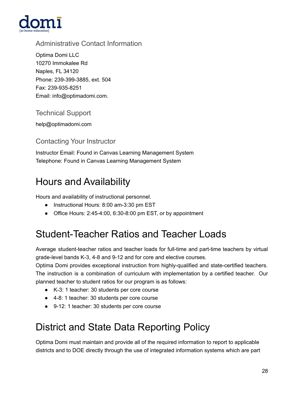

# <span id="page-27-0"></span>Administrative Contact Information

Optima Domi LLC 10270 Immokalee Rd Naples, FL 34120 Phone: 239-399-3885, ext. 504 Fax: 239-935-8251 Email: info@optimadomi.com.

# <span id="page-27-1"></span>Technical Support

help@optimadomi.com

# <span id="page-27-2"></span>Contacting Your Instructor

Instructor Email: Found in Canvas Learning Management System Telephone: Found in Canvas Learning Management System

# <span id="page-27-3"></span>Hours and Availability

Hours and availability of instructional personnel.

- Instructional Hours: 8:00 am-3:30 pm EST
- Office Hours: 2:45-4:00, 6:30-8:00 pm EST, or by appointment

# <span id="page-27-4"></span>Student-Teacher Ratios and Teacher Loads

Average student-teacher ratios and teacher loads for full-time and part-time teachers by virtual grade-level bands K-3, 4-8 and 9-12 and for core and elective courses.

Optima Domi provides exceptional instruction from highly-qualified and state-certified teachers. The instruction is a combination of curriculum with implementation by a certified teacher. Our planned teacher to student ratios for our program is as follows:

- K-3: 1 teacher: 30 students per core course
- 4-8: 1 teacher: 30 students per core course
- 9-12: 1 teacher: 30 students per core course

# <span id="page-27-5"></span>District and State Data Reporting Policy

Optima Domi must maintain and provide all of the required information to report to applicable districts and to DOE directly through the use of integrated information systems which are part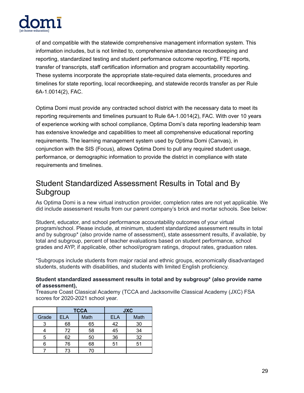

of and compatible with the statewide comprehensive management information system. This information includes, but is not limited to, comprehensive attendance recordkeeping and reporting, standardized testing and student performance outcome reporting, FTE reports, transfer of transcripts, staff certification information and program accountability reporting. These systems incorporate the appropriate state-required data elements, procedures and timelines for state reporting, local recordkeeping, and statewide records transfer as per Rule 6A-1.0014(2), FAC.

Optima Domi must provide any contracted school district with the necessary data to meet its reporting requirements and timelines pursuant to Rule 6A-1.0014(2), FAC. With over 10 years of experience working with school compliance, Optima Domi's data reporting leadership team has extensive knowledge and capabilities to meet all comprehensive educational reporting requirements. The learning management system used by Optima Domi (Canvas), in conjunction with the SIS (Focus), allows Optima Domi to pull any required student usage, performance, or demographic information to provide the district in compliance with state requirements and timelines.

# <span id="page-28-0"></span>Student Standardized Assessment Results in Total and By Subgroup

As Optima Domi is a new virtual instruction provider, completion rates are not yet applicable. We did include assessment results from our parent company's brick and mortar schools. See below:

Student, educator, and school performance accountability outcomes of your virtual program/school. Please include, at minimum, student standardized assessment results in total and by subgroup\* (also provide name of assessment), state assessment results, if available, by total and subgroup, percent of teacher evaluations based on student performance, school grades and AYP, if applicable, other school/program ratings, dropout rates, graduation rates.

\*Subgroups include students from major racial and ethnic groups, economically disadvantaged students, students with disabilities, and students with limited English proficiency.

#### **Student standardized assessment results in total and by subgroup\* (also provide name of assessment),**

Treasure Coast Classical Academy (TCCA and Jacksonville Classical Academy (JXC) FSA scores for 2020-2021 school year.

|       | <b>TCCA</b> |      |            | <b>JXC</b> |
|-------|-------------|------|------------|------------|
| Grade | <b>ELA</b>  | Math | <b>ELA</b> | Math       |
|       | 68          | 65   | 42         | 30         |
|       | 72          | 58   | 45         | 34         |
| 5     | 62          | 50   | 36         | 32         |
|       | 76          | 68   | 51         | 51         |
|       | 73          |      |            |            |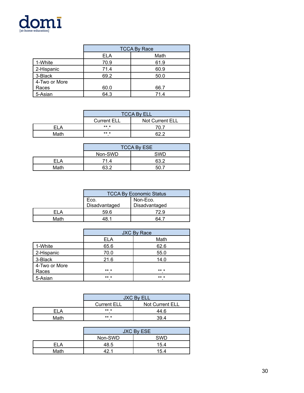

|               | <b>TCCA By Race</b> |      |
|---------------|---------------------|------|
|               | Math<br><b>ELA</b>  |      |
| 1-White       | 70.9                | 61.9 |
| 2-Hispanic    | 71.4                | 60.9 |
| 3-Black       | 69.2                | 50.0 |
| 4-Two or More |                     |      |
| Races         | 60.0                | 66.7 |
| 5-Asian       | 64.3                | 71.4 |

|      | <b>TCCA By ELL</b>                           |      |  |
|------|----------------------------------------------|------|--|
|      | <b>Not Current ELL</b><br><b>Current ELL</b> |      |  |
|      | ** *                                         | 70 7 |  |
| Math | ** *                                         | ຂາ າ |  |

|      | <b>TCCA By ESE</b>    |      |  |
|------|-----------------------|------|--|
|      | <b>SWD</b><br>Non-SWD |      |  |
| FI A | 71.4                  | 63.2 |  |
| Math | 63.2                  |      |  |

|      | <b>TCCA By Economic Status</b> |               |  |
|------|--------------------------------|---------------|--|
|      | Non-Eco.<br>Eco.               |               |  |
|      | Disadvantaged                  | Disadvantaged |  |
| FΙA  | 59.6                           | 72.9          |  |
| Math |                                |               |  |

|               | <b>JXC By Race</b> |         |
|---------------|--------------------|---------|
|               | <b>ELA</b>         | Math    |
| 1-White       | 65.6               | 62.6    |
| 2-Hispanic    | 70.0               | 55.0    |
| 3-Black       | 21.6               | 14.0    |
| 4-Two or More |                    |         |
| Races         | $***$ *            | ** *    |
| 5-Asian       | ** *               | $***$ * |

|      | <b>JXC By ELL</b>  |                 |
|------|--------------------|-----------------|
|      | <b>Current ELL</b> | Not Current ELL |
| = ΙΑ | ** *               | 44 6            |
| Math | ** *               | 39 4            |

|      | JXC By ESE |            |
|------|------------|------------|
|      | Non-SWD    | <b>SWD</b> |
| FI A | 48.5       | 15.4       |
| Math |            | 15.4       |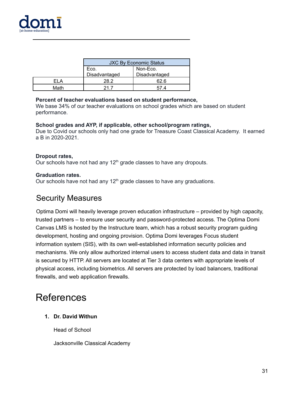

|      | <b>JXC By Economic Status</b> |               |  |
|------|-------------------------------|---------------|--|
|      | Eco.                          | Non-Eco.      |  |
|      | Disadvantaged                 | Disadvantaged |  |
|      | 28.2                          | 62.6          |  |
| Math |                               |               |  |

#### **Percent of teacher evaluations based on student performance,**

We base 34% of our teacher evaluations on school grades which are based on student performance.

#### **School grades and AYP, if applicable, other school/program ratings,**

Due to Covid our schools only had one grade for Treasure Coast Classical Academy. It earned a B in 2020-2021.

#### **Dropout rates,**

Our schools have not had any  $12<sup>th</sup>$  grade classes to have any dropouts.

#### **Graduation rates.**

<span id="page-30-0"></span>Our schools have not had any  $12<sup>th</sup>$  grade classes to have any graduations.

# Security Measures

Optima Domi will heavily leverage proven education infrastructure – provided by high capacity, trusted partners – to ensure user security and password-protected access. The Optima Domi Canvas LMS is hosted by the Instructure team, which has a robust security program guiding development, hosting and ongoing provision. Optima Domi leverages Focus student information system (SIS), with its own well-established information security policies and mechanisms. We only allow authorized internal users to access student data and data in transit is secured by HTTP. All servers are located at Tier 3 data centers with appropriate levels of physical access, including biometrics. All servers are protected by load balancers, traditional firewalls, and web application firewalls.

# <span id="page-30-1"></span>References

#### **1. Dr. David Withun**

Head of School

Jacksonville Classical Academy